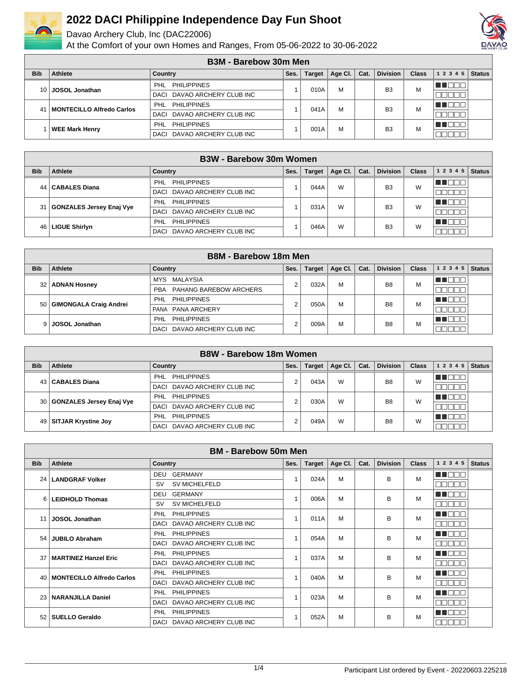

Davao Archery Club, Inc (DAC22006)



|                 | <b>B3M - Barebow 30m Men</b> |                                  |      |               |         |      |                 |              |           |               |  |
|-----------------|------------------------------|----------------------------------|------|---------------|---------|------|-----------------|--------------|-----------|---------------|--|
| <b>Bib</b>      | Athlete                      | Country                          | Ses. | <b>Target</b> | Age Cl. | Cat. | <b>Division</b> | <b>Class</b> | 1 2 3 4 5 | <b>Status</b> |  |
| 10 <sup>1</sup> | <b>JOSOL Jonathan</b>        | <b>PHILIPPINES</b><br><b>PHL</b> |      | 010A          | M       |      | B <sub>3</sub>  | М            | THE END   |               |  |
|                 |                              | DACI DAVAO ARCHERY CLUB INC      |      |               |         |      |                 |              |           |               |  |
| 41              | MONTECILLO Alfredo Carlos    | <b>PHILIPPINES</b><br><b>PHL</b> |      | 041A          | M       |      | B <sub>3</sub>  | М            | n na m    |               |  |
|                 |                              | DACI DAVAO ARCHERY CLUB INC      |      |               |         |      |                 |              |           |               |  |
|                 | <b>WEE Mark Henry</b>        | <b>PHILIPPINES</b><br>PHI        |      | 001A          | M       |      | B <sub>3</sub>  | М            | - 11 - 11 |               |  |
|                 |                              | DAVAO ARCHERY CLUB INC<br>DACI   |      |               |         |      |                 |              |           |               |  |

|            |                               | <b>B3W - Barebow 30m Women</b> |      |               |         |      |                 |              |           |               |
|------------|-------------------------------|--------------------------------|------|---------------|---------|------|-----------------|--------------|-----------|---------------|
| <b>Bib</b> | Athlete                       | Country                        | Ses. | <b>Target</b> | Age Cl. | Cat. | <b>Division</b> | <b>Class</b> | 1 2 3 4 5 | <b>Status</b> |
| 44 I       | <b>CABALES Diana</b>          | <b>PHILIPPINES</b><br>PHL      |      | 044A          | W       |      | B <sub>3</sub>  | W            |           |               |
|            |                               | DACI DAVAO ARCHERY CLUB INC    |      |               |         |      |                 |              |           |               |
|            | 31   GONZALES Jersey Enaj Vye | <b>PHILIPPINES</b><br>PHL      |      | 031A          | W       |      | B <sub>3</sub>  | W            |           |               |
|            |                               | DAVAO ARCHERY CLUB INC<br>DACI |      |               |         |      |                 |              |           |               |
| 46 I       | <b>LIGUE Shirlyn</b>          | <b>PHILIPPINES</b><br>PHL      |      | 046A          | W       |      | B <sub>3</sub>  | W            |           |               |
|            |                               | DAVAO ARCHERY CLUB INC<br>DACI |      |               |         |      |                 |              |           |               |

|            |                             | <b>B8M - Barebow 18m Men</b>         |      |               |         |      |                 |              |           |               |
|------------|-----------------------------|--------------------------------------|------|---------------|---------|------|-----------------|--------------|-----------|---------------|
| <b>Bib</b> | Athlete                     | Country                              | Ses. | <b>Target</b> | Age Cl. | Cat. | <b>Division</b> | <b>Class</b> | 1 2 3 4 5 | <b>Status</b> |
|            | 32   ADNAN Hosney           | MALAYSIA<br>MYS                      | ⌒    | 032A          | M       |      | B <sub>8</sub>  | M            |           |               |
|            |                             | PAHANG BAREBOW ARCHERS<br><b>PBA</b> |      |               |         |      |                 |              |           |               |
|            | 50   GIMONGALA Craig Andrei | PHL<br>PHILIPPINES                   |      | 050A          | М       |      | B <sub>8</sub>  | M            |           |               |
|            |                             | PANA PANA ARCHERY                    |      |               |         |      |                 |              |           |               |
| 91         | <b>JOSOL Jonathan</b>       | <b>PHL</b><br><b>PHILIPPINES</b>     |      | 009A          | М       |      | B <sub>8</sub>  | M            |           |               |
|            |                             | DAVAO ARCHERY CLUB INC<br>DACI       |      |               |         |      |                 |              |           |               |

|            |                               | <b>B8W - Barebow 18m Women</b>   |      |               |         |      |                 |              |           |               |
|------------|-------------------------------|----------------------------------|------|---------------|---------|------|-----------------|--------------|-----------|---------------|
| <b>Bib</b> | Athlete                       | Country                          | Ses. | <b>Target</b> | Age Cl. | Cat. | <b>Division</b> | <b>Class</b> | 1 2 3 4 5 | <b>Status</b> |
| 43         | <b>CABALES Diana</b>          | <b>PHILIPPINES</b><br>PHL        | ◠    | 043A          | W       |      | B <sub>8</sub>  | W            | HILLULLI  |               |
|            |                               | DAVAO ARCHERY CLUB INC<br>DACI   |      |               |         |      |                 |              |           |               |
|            | 30   GONZALES Jersey Enaj Vye | <b>PHILIPPINES</b><br><b>PHL</b> | c    | 030A          | W       |      | B <sub>8</sub>  | W            |           |               |
|            |                               | DAVAO ARCHERY CLUB INC<br>DACI   |      |               |         |      |                 |              |           |               |
| 49         | <b>SITJAR Krystine Joy</b>    | <b>PHILIPPINES</b><br>PHL        | ◠    | 049A          | W       |      | B <sub>8</sub>  | W            |           |               |
|            |                               | DAVAO ARCHERY CLUB INC<br>DACI   |      |               |         |      |                 |              |           |               |

|            |                                  | <b>BM - Barebow 50m Men</b>           |      |               |         |      |                 |              |              |               |
|------------|----------------------------------|---------------------------------------|------|---------------|---------|------|-----------------|--------------|--------------|---------------|
| <b>Bib</b> | Athlete                          | <b>Country</b>                        | Ses. | <b>Target</b> | Age Cl. | Cat. | <b>Division</b> | <b>Class</b> | 1 2 3 4 5    | <b>Status</b> |
|            | 24   LANDGRAF Volker             | GERMANY<br>DEU                        |      | 024A          | M       |      | в               | M            | ma da E      |               |
|            |                                  | <b>SV MICHELFELD</b><br><b>SV</b>     |      |               |         |      |                 |              | TE IL<br>┓┍┓ |               |
| 6          | <b>LEIDHOLD Thomas</b>           | <b>GERMANY</b><br>DEU                 |      | 006A          | M       |      | B               | M            | AU FIFIT     |               |
|            |                                  | SV MICHELFELD<br><b>SV</b>            |      |               |         |      |                 |              | <b>NODOL</b> |               |
| 11         | <b>JOSOL Jonathan</b>            | <b>PHL</b><br><b>PHILIPPINES</b>      |      | 011A          | M       |      | B               | M            | UN DI DI T   |               |
|            |                                  | DAVAO ARCHERY CLUB INC<br><b>DACI</b> |      |               |         |      |                 |              | nnnn         |               |
| 54         | <b>JUBILO Abraham</b>            | <b>PHILIPPINES</b><br><b>PHL</b>      |      | 054A          | M       |      | B               | M            | u in Film    |               |
|            |                                  | DAVAO ARCHERY CLUB INC<br><b>DACI</b> |      |               |         |      |                 |              | سالطاطا      |               |
| 37         | <b>MARTINEZ Hanzel Eric</b>      | PHL<br><b>PHILIPPINES</b>             |      | 037A          | M       |      | <sub>R</sub>    | M            | TENTI        |               |
|            |                                  | DAVAO ARCHERY CLUB INC<br>DACI        |      |               |         |      |                 |              | ППГ<br>TET   |               |
| 40         | <b>MONTECILLO Alfredo Carlos</b> | <b>PHILIPPINES</b><br><b>PHL</b>      |      | 040A          | M       |      | <sub>R</sub>    | M            | HI NOTE      |               |
|            |                                  | DAVAO ARCHERY CLUB INC<br>DACI        |      |               |         |      |                 |              |              |               |
|            | 23   NARANJILLA Daniel           | <b>PHL</b><br><b>PHILIPPINES</b>      |      | 023A          | M       |      | в               | M            | TENTI        |               |
|            |                                  | DAVAO ARCHERY CLUB INC<br>DACI        |      |               |         |      |                 |              |              |               |
| 52         | <b>SUELLO Geraldo</b>            | <b>PHILIPPINES</b><br><b>PHL</b>      |      | 052A          | M       |      | в               | M            |              |               |
|            |                                  | DAVAO ARCHERY CLUB INC<br>DACI        |      |               |         |      |                 |              | חחחר         |               |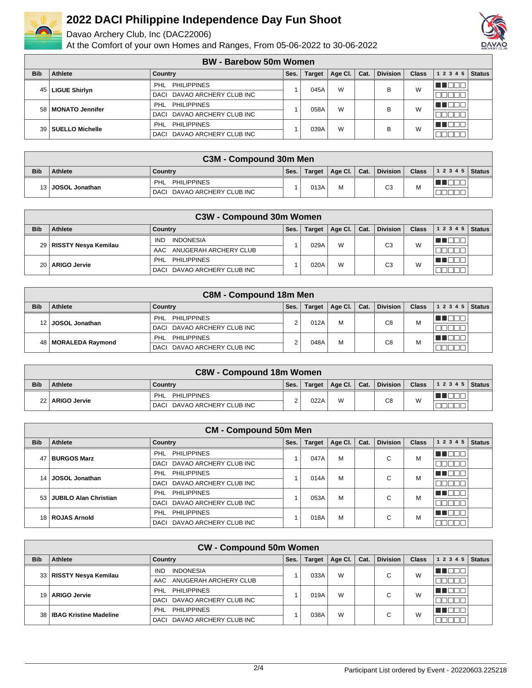

Davao Archery Club, Inc (DAC22006)



|            |                      | <b>BW</b> - Barebow 50m Women  |      |               |         |      |                 |              |           |               |
|------------|----------------------|--------------------------------|------|---------------|---------|------|-----------------|--------------|-----------|---------------|
| <b>Bib</b> | Athlete              | Country                        | Ses. | <b>Target</b> | Age Cl. | Cat. | <b>Division</b> | <b>Class</b> | 1 2 3 4 5 | <b>Status</b> |
|            | 45   LIGUE Shirlyn   | <b>PHILIPPINES</b><br>PHL      |      | 045A          | W       |      | В               | W            |           |               |
|            |                      | DACI DAVAO ARCHERY CLUB INC    |      |               |         |      |                 |              |           |               |
|            | 58   MONATO Jennifer | <b>PHILIPPINES</b><br>PHL      |      | 058A          | W       |      | R               | W            |           |               |
|            |                      | DACI DAVAO ARCHERY CLUB INC    |      |               |         |      |                 |              |           |               |
|            | 39   SUELLO Michelle | <b>PHILIPPINES</b><br>PHL      |      | 039A          | W       |      | B               | W            |           |               |
|            |                      | DAVAO ARCHERY CLUB INC<br>DACI |      |               |         |      |                 |              |           |               |

|            | C3M - Compound 30m Men |                                |      |        |   |  |                           |              |                |  |  |  |
|------------|------------------------|--------------------------------|------|--------|---|--|---------------------------|--------------|----------------|--|--|--|
| <b>Bib</b> | Athlete                | Country                        | Ses. | Target |   |  | Age Cl.   Cat.   Division | <b>Class</b> | $12345$ Status |  |  |  |
|            | 13 JOSOL Jonathan      | PHL<br><b>PHILIPPINES</b>      |      | 013A   | M |  | C3                        | м            |                |  |  |  |
|            |                        | DAVAO ARCHERY CLUB INC<br>DACI |      |        |   |  |                           |              |                |  |  |  |

|            |                           | C3W - Compound 30m Women       |      |               |         |      |                 |              |                    |  |
|------------|---------------------------|--------------------------------|------|---------------|---------|------|-----------------|--------------|--------------------|--|
| <b>Bib</b> | Athlete                   | Country                        | Ses. | <b>Target</b> | Age Cl. | Cat. | <b>Division</b> | <b>Class</b> | 1 2 3 4 5   Status |  |
|            | 29   RISSTY Nesya Kemilau | <b>INDONESIA</b><br><b>IND</b> |      | 029A          | W       |      | C <sub>3</sub>  | W            |                    |  |
|            |                           | ANUGERAH ARCHERY CLUB<br>AAC   |      |               |         |      |                 |              |                    |  |
|            | 20   ARIGO Jervie         | <b>PHILIPPINES</b><br>PHL      |      | 020A          | W       |      | C <sub>3</sub>  | W            |                    |  |
|            |                           | DACI DAVAO ARCHERY CLUB INC    |      |               |         |      |                 |              |                    |  |

|            | <b>C8M - Compound 18m Men</b> |                                  |      |               |         |      |                 |              |           |               |  |
|------------|-------------------------------|----------------------------------|------|---------------|---------|------|-----------------|--------------|-----------|---------------|--|
| <b>Bib</b> | Athlete                       | Country                          | Ses. | <b>Target</b> | Age Cl. | Cat. | <b>Division</b> | <b>Class</b> | 1 2 3 4 5 | <b>Status</b> |  |
| 12 I       | <b>JOSOL Jonathan</b>         | <b>PHILIPPINES</b><br><b>PHL</b> |      | 012A          | M       |      | C8              | M            |           |               |  |
|            |                               | DACI DAVAO ARCHERY CLUB INC      |      |               |         |      |                 |              |           |               |  |
| 48 I       | <b>MORALEDA Raymond</b>       | PHILIPPINES<br>PHL               |      | 048A          | М       |      | C <sub>8</sub>  | M            |           |               |  |
|            |                               | DACI DAVAO ARCHERY CLUB INC      |      |               |         |      |                 |              |           |               |  |

|            | <b>C8W - Compound 18m Women</b> |                             |      |      |   |  |                                    |              |                |  |  |
|------------|---------------------------------|-----------------------------|------|------|---|--|------------------------------------|--------------|----------------|--|--|
| <b>Bib</b> | Athlete                         | Country                     | Ses. |      |   |  | Target   Age Cl.   Cat.   Division | <b>Class</b> | $12345$ Status |  |  |
|            | 22   ARIGO Jervie               | PHL<br>PHILIPPINES          |      | 022A | W |  | C8                                 | W            |                |  |  |
|            |                                 | DACI DAVAO ARCHERY CLUB INC |      |      |   |  |                                    |              |                |  |  |

|                 |                              | <b>CM - Compound 50m Men</b>     |      |        |         |      |                 |              |                |               |
|-----------------|------------------------------|----------------------------------|------|--------|---------|------|-----------------|--------------|----------------|---------------|
| <b>Bib</b>      | Athlete                      | Country                          | Ses. | Target | Age Cl. | Cat. | <b>Division</b> | <b>Class</b> | 1 2 3 4 5      | <b>Status</b> |
| 47              | <b>BURGOS Marz</b>           | <b>PHILIPPINES</b><br>PHL        |      | 047A   | M       |      | С               | м            | TE E E         |               |
|                 |                              | DACI DAVAO ARCHERY CLUB INC      |      |        |         |      |                 |              | ┒<br>- III.    |               |
| 14 <sup>1</sup> | <b>JOSOL Jonathan</b>        | <b>PHILIPPINES</b><br><b>PHL</b> |      | 014A   | M       |      | С               | M            | TO<br>TI.      |               |
|                 |                              | DAVAO ARCHERY CLUB INC<br>DACI   |      |        |         |      |                 |              | ╖<br>- III.    |               |
| 53 I            | <b>JUBILO Alan Christian</b> | <b>PHILIPPINES</b><br><b>PHL</b> |      | 053A   | M       |      | С               | M            | THE EL         |               |
|                 |                              | DAVAO ARCHERY CLUB INC<br>DACI   |      |        |         |      |                 |              | - II<br>- III. |               |
|                 | 18   ROJAS Arnold            | <b>PHILIPPINES</b><br><b>PHL</b> |      | 018A   | M       |      | С               | M            | T FII<br>─ा    |               |
|                 |                              | DAVAO ARCHERY CLUB INC<br>DACI   |      |        |         |      |                 |              |                |               |

|            |                             | <b>CW - Compound 50m Women</b> |      |               |         |      |                 |              |           |               |
|------------|-----------------------------|--------------------------------|------|---------------|---------|------|-----------------|--------------|-----------|---------------|
| <b>Bib</b> | Athlete                     | Country                        | Ses. | <b>Target</b> | Age CI. | Cat. | <b>Division</b> | <b>Class</b> | 1 2 3 4 5 | <b>Status</b> |
|            | 33   RISSTY Nesya Kemilau   | <b>INDONESIA</b><br><b>IND</b> |      | 033A          | W       |      | ⌒               | W            |           |               |
|            |                             | ANUGERAH ARCHERY CLUB<br>AAC   |      |               |         |      | ີ               |              |           |               |
| 19 I       | <b>ARIGO Jervie</b>         | <b>PHILIPPINES</b><br>PHL      |      | 019A          | W       |      | ⌒               | W            |           |               |
|            |                             | DACI DAVAO ARCHERY CLUB INC    |      |               |         |      | ື               |              |           |               |
|            | 38   IBAG Kristine Madeline | <b>PHILIPPINES</b><br>PHL      |      | 038A          | W       |      | ⌒               | W            |           |               |
|            |                             | DACI DAVAO ARCHERY CLUB INC    |      |               |         |      | ີ               |              |           |               |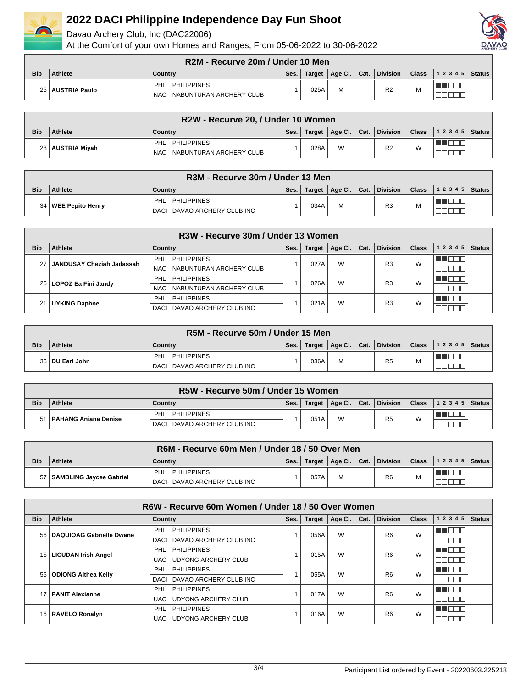

Davao Archery Club, Inc (DAC22006)



|            | R2M - Recurve 20m / Under 10 Men |                                       |      |        |         |      |                 |              |                  |  |  |  |
|------------|----------------------------------|---------------------------------------|------|--------|---------|------|-----------------|--------------|------------------|--|--|--|
| <b>Bib</b> | Athlete                          | Country                               | Ses. | Target | Age Cl. | Cat. | <b>Division</b> | <b>Class</b> | $ 12345 $ Status |  |  |  |
|            | 25   AUSTRIA Paulo               | <b>PHILIPPINES</b><br>PHL             |      | 025A   |         |      | R <sub>2</sub>  | M            |                  |  |  |  |
|            |                                  | NABUNTURAN ARCHERY CLUB<br><b>NAC</b> |      |        |         |      |                 |              |                  |  |  |  |

|            | R2W - Recurve 20, / Under 10 Women |                                       |      |        |              |  |                 |              |                |  |  |  |
|------------|------------------------------------|---------------------------------------|------|--------|--------------|--|-----------------|--------------|----------------|--|--|--|
| <b>Bib</b> | Athlete                            | Country                               | Ses. | Target | Age Cl. Cat. |  | <b>Division</b> | <b>Class</b> | $12345$ Status |  |  |  |
|            |                                    | PHILIPPINES<br>PHL                    |      | 028A   | W            |  | R <sub>2</sub>  | W            |                |  |  |  |
|            | 28   AUSTRIA Miyah                 | NABUNTURAN ARCHERY CLUB<br><b>NAC</b> |      |        |              |  |                 |              |                |  |  |  |

|            | R3M - Recurve 30m / Under 13 Men |                             |      |        |                |  |                 |              |                  |  |  |
|------------|----------------------------------|-----------------------------|------|--------|----------------|--|-----------------|--------------|------------------|--|--|
| <b>Bib</b> | Athlete                          | Country                     | Ses. | Target | Age Cl.   Cat. |  | <b>Division</b> | <b>Class</b> | $ 12345 $ Status |  |  |
|            |                                  | <b>PHILIPPINES</b><br>PHL   |      | 034A   | M              |  | R <sub>3</sub>  | M            |                  |  |  |
|            | 34   WEE Pepito Henry            | DACI DAVAO ARCHERY CLUB INC |      |        |                |  |                 |              |                  |  |  |

|            | R3W - Recurve 30m / Under 13 Women |                                |      |               |         |      |                 |              |           |               |  |  |
|------------|------------------------------------|--------------------------------|------|---------------|---------|------|-----------------|--------------|-----------|---------------|--|--|
| <b>Bib</b> | Athlete                            | Country                        | Ses. | <b>Target</b> | Age Cl. | Cat. | <b>Division</b> | <b>Class</b> | 1 2 3 4 5 | <b>Status</b> |  |  |
|            | JANDUSAY Cheziah Jadassah          | PHL PHILIPPINES                |      | 027A          | W       |      | R <sub>3</sub>  | W            |           |               |  |  |
|            |                                    | NAC NABUNTURAN ARCHERY CLUB    |      |               |         |      |                 |              |           |               |  |  |
|            | 26   LOPOZ Ea Fini Jandy           | PHL PHILIPPINES                |      | 026A          | W       |      | R <sub>3</sub>  | W            |           |               |  |  |
|            |                                    | NAC NABUNTURAN ARCHERY CLUB    |      |               |         |      |                 |              |           |               |  |  |
|            | UYKING Daphne                      | PHILIPPINES<br>PHL             |      | 021A          | W       |      | R <sub>3</sub>  | W            |           |               |  |  |
|            |                                    | DAVAO ARCHERY CLUB INC<br>DACI |      |               |         |      |                 |              |           |               |  |  |

|            | R5M - Recurve 50m / Under 15 Men |                             |      |        |                |  |                 |              |                          |  |  |  |
|------------|----------------------------------|-----------------------------|------|--------|----------------|--|-----------------|--------------|--------------------------|--|--|--|
| <b>Bib</b> | <b>Athlete</b>                   | ∣ Countrv                   | Ses. | Target | Age Cl.   Cat. |  | <b>Division</b> | <b>Class</b> | $\vert$ 1 2 3 4 5 Status |  |  |  |
|            | 36   DU Earl John                | PHILIPPINES<br>PHL          |      | 036A   | M              |  | R <sub>5</sub>  | M            |                          |  |  |  |
|            |                                  | DACI DAVAO ARCHERY CLUB INC |      |        |                |  |                 |              |                          |  |  |  |

|            | R5W - Recurve 50m / Under 15 Women |                                |      |               |   |  |                           |              |                |  |  |  |
|------------|------------------------------------|--------------------------------|------|---------------|---|--|---------------------------|--------------|----------------|--|--|--|
| <b>Bib</b> | Athlete                            | Country                        | Ses. | <b>Target</b> |   |  | Age Cl.   Cat.   Division | <b>Class</b> | $12345$ Status |  |  |  |
| 51         | ∣ ∣ PAHANG Aniana Denise           | <b>PHILIPPINES</b><br>PHL      |      | 051A          | W |  | R <sub>5</sub>            | W            |                |  |  |  |
|            |                                    | DAVAO ARCHERY CLUB INC<br>DACI |      |               |   |  |                           |              |                |  |  |  |

|            | R6M - Recurve 60m Men / Under 18 / 50 Over Men |                                  |      |         |              |  |                 |              |                      |  |  |  |
|------------|------------------------------------------------|----------------------------------|------|---------|--------------|--|-----------------|--------------|----------------------|--|--|--|
| <b>Bib</b> | <b>Athlete</b>                                 | Country                          | Ses. | Target, | Age Cl. Cat. |  | <b>Division</b> | <b>Class</b> | $ 12345 $ Status $ $ |  |  |  |
|            | 57   SAMBLING Javcee Gabriel                   | <b>PHILIPPINES</b><br><b>PHL</b> |      | 057A    | M            |  | R <sub>6</sub>  | M            |                      |  |  |  |
|            |                                                | DAVAO ARCHERY CLUB INC<br>DACI   |      |         |              |  |                 |              |                      |  |  |  |

| R6W - Recurve 60m Women / Under 18 / 50 Over Women |                                 |                                   |      |               |         |      |                 |                |           |               |  |  |
|----------------------------------------------------|---------------------------------|-----------------------------------|------|---------------|---------|------|-----------------|----------------|-----------|---------------|--|--|
| <b>Bib</b>                                         | Athlete                         | <b>Country</b>                    | Ses. | <b>Target</b> | Age CI. | Cat. | <b>Division</b> | <b>Class</b>   | 1 2 3 4 5 | <b>Status</b> |  |  |
| 56                                                 | <b>DAQUIOAG Gabrielle Dwane</b> | <b>PHILIPPINES</b><br><b>PHL</b>  |      | 056A          | W       |      | R <sub>6</sub>  | W              | TEE       |               |  |  |
|                                                    |                                 | DAVAO ARCHERY CLUB INC<br>DACI    |      |               |         |      |                 |                |           |               |  |  |
| 15 I                                               | <b>LICUDAN Irish Angel</b>      | <b>PHILIPPINES</b><br><b>PHL</b>  |      | 015A          | W       |      | R <sub>6</sub>  | W              | an an a   |               |  |  |
|                                                    |                                 | <b>UDYONG ARCHERY CLUB</b><br>UAC |      |               |         |      |                 |                |           |               |  |  |
| 55                                                 | <b>ODIONG Althea Kelly</b>      | <b>PHILIPPINES</b><br>PHL         |      | 055A          | W       |      | R <sub>6</sub>  | W              | H F       |               |  |  |
|                                                    |                                 | DACI DAVAO ARCHERY CLUB INC       |      |               |         |      |                 |                |           |               |  |  |
|                                                    | <b>PANIT Alexianne</b>          | <b>PHILIPPINES</b><br>PHL         |      | 017A          | W       |      | R <sub>6</sub>  | W              | T FIT     |               |  |  |
|                                                    |                                 | <b>UDYONG ARCHERY CLUB</b><br>UAC |      |               |         |      |                 |                |           |               |  |  |
|                                                    | 16   RAVELO Ronalyn             | <b>PHL</b><br><b>PHILIPPINES</b>  |      |               |         |      | W<br>016A       | R <sub>6</sub> | W         | n di          |  |  |
|                                                    |                                 | <b>UDYONG ARCHERY CLUB</b><br>UAC |      |               |         |      |                 |                |           |               |  |  |